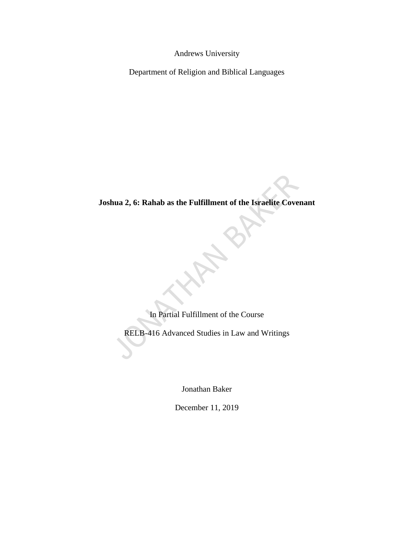Andrews University

Department of Religion and Biblical Languages

# **Joshua 2, 6: Rahab as the Fulfillment of the Israelite Covenant**

In Partial Fulfillment of the Course

RELB-416 Advanced Studies in Law and Writings

Jonathan Baker

December 11, 2019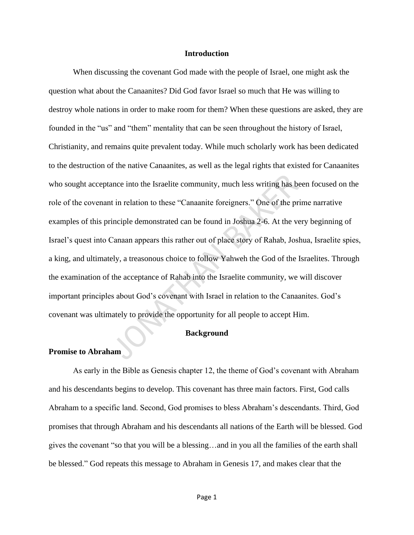## **Introduction**

When discussing the covenant God made with the people of Israel, one might ask the question what about the Canaanites? Did God favor Israel so much that He was willing to destroy whole nations in order to make room for them? When these questions are asked, they are founded in the "us" and "them" mentality that can be seen throughout the history of Israel, Christianity, and remains quite prevalent today. While much scholarly work has been dedicated to the destruction of the native Canaanites, as well as the legal rights that existed for Canaanites who sought acceptance into the Israelite community, much less writing has been focused on the role of the covenant in relation to these "Canaanite foreigners." One of the prime narrative examples of this principle demonstrated can be found in Joshua 2-6. At the very beginning of Israel's quest into Canaan appears this rather out of place story of Rahab, Joshua, Israelite spies, a king, and ultimately, a treasonous choice to follow Yahweh the God of the Israelites. Through the examination of the acceptance of Rahab into the Israelite community, we will discover important principles about God's covenant with Israel in relation to the Canaanites. God's covenant was ultimately to provide the opportunity for all people to accept Him.

#### **Background**

## **Promise to Abraham**

As early in the Bible as Genesis chapter 12, the theme of God's covenant with Abraham and his descendants begins to develop. This covenant has three main factors. First, God calls Abraham to a specific land. Second, God promises to bless Abraham's descendants. Third, God promises that through Abraham and his descendants all nations of the Earth will be blessed. God gives the covenant "so that you will be a blessing…and in you all the families of the earth shall be blessed." God repeats this message to Abraham in Genesis 17, and makes clear that the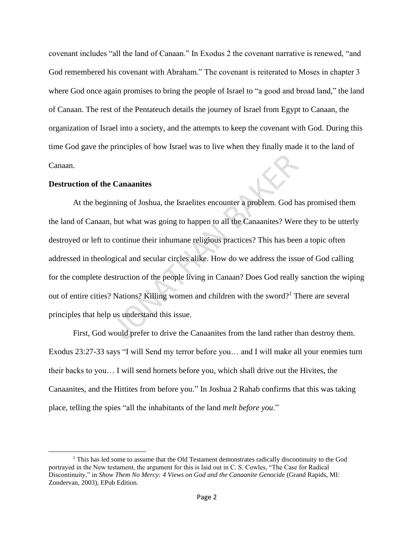covenant includes "all the land of Canaan." In Exodus 2 the covenant narrative is renewed, "and God remembered his covenant with Abraham." The covenant is reiterated to Moses in chapter 3 where God once again promises to bring the people of Israel to "a good and broad land," the land of Canaan. The rest of the Pentateuch details the journey of Israel from Egypt to Canaan, the organization of Israel into a society, and the attempts to keep the covenant with God. During this time God gave the principles of how Israel was to live when they finally made it to the land of Canaan.

# **Destruction of the Canaanites**

At the beginning of Joshua, the Israelites encounter a problem. God has promised them the land of Canaan, but what was going to happen to all the Canaanites? Were they to be utterly destroyed or left to continue their inhumane religious practices? This has been a topic often addressed in theological and secular circles alike. How do we address the issue of God calling for the complete destruction of the people living in Canaan? Does God really sanction the wiping out of entire cities? Nations? Killing women and children with the sword?<sup>1</sup> There are several principles that help us understand this issue.

First, God would prefer to drive the Canaanites from the land rather than destroy them. Exodus 23:27-33 says "I will Send my terror before you… and I will make all your enemies turn their backs to you… I will send hornets before you, which shall drive out the Hivites, the Canaanites, and the Hittites from before you." In Joshua 2 Rahab confirms that this was taking place, telling the spies "all the inhabitants of the land *melt before you*."

 $<sup>1</sup>$  This has led some to assume that the Old Testament demonstrates radically discontinuity to the God</sup> portrayed in the New testament, the argument for this is laid out in C. S. Cowles, "The Case for Radical Discontinuity," in *Show Them No Mercy: 4 Views on God and the Canaanite Genocide* (Grand Rapids, MI: Zondervan, 2003), EPub Edition.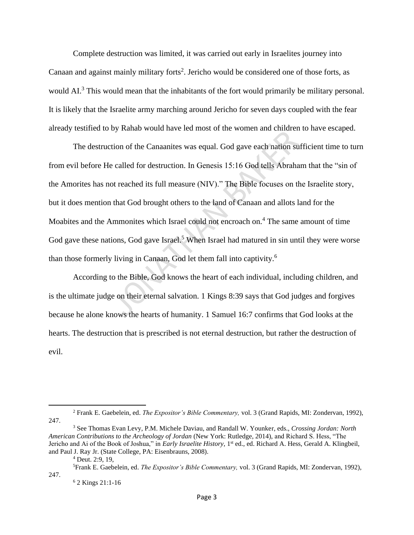Complete destruction was limited, it was carried out early in Israelites journey into Canaan and against mainly military forts<sup>2</sup>. Jericho would be considered one of those forts, as would AI.<sup>3</sup> This would mean that the inhabitants of the fort would primarily be military personal. It is likely that the Israelite army marching around Jericho for seven days coupled with the fear already testified to by Rahab would have led most of the women and children to have escaped.

The destruction of the Canaanites was equal. God gave each nation sufficient time to turn from evil before He called for destruction. In Genesis 15:16 God tells Abraham that the "sin of the Amorites has not reached its full measure (NIV)." The Bible focuses on the Israelite story, but it does mention that God brought others to the land of Canaan and allots land for the Moabites and the Ammonites which Israel could not encroach on.<sup>4</sup> The same amount of time God gave these nations, God gave Israel.<sup>5</sup> When Israel had matured in sin until they were worse than those formerly living in Canaan, God let them fall into captivity.<sup>6</sup>

According to the Bible, God knows the heart of each individual, including children, and is the ultimate judge on their eternal salvation. 1 Kings 8:39 says that God judges and forgives because he alone knows the hearts of humanity. 1 Samuel 16:7 confirms that God looks at the hearts. The destruction that is prescribed is not eternal destruction, but rather the destruction of evil.

<sup>2</sup> Frank E. Gaebelein, ed. *The Expositor's Bible Commentary,* vol. 3 (Grand Rapids, MI: Zondervan, 1992), 247.

<sup>3</sup> See Thomas Evan Levy, P.M. Michele Daviau, and Randall W. Younker, eds., *Crossing Jordan: North American Contributions to the Archeology of Jordan* (New York: Rutledge, 2014), and Richard S. Hess, "The Jericho and Ai of the Book of Joshua," in *Early Israelite History,* 1 st ed., ed. Richard A. Hess, Gerald A. Klingbeil, and Paul J. Ray Jr. (State College, PA: Eisenbrauns, 2008).

 $4$  Deut. 2:9, 19,

<sup>5</sup>Frank E. Gaebelein, ed. *The Expositor's Bible Commentary,* vol. 3 (Grand Rapids, MI: Zondervan, 1992), 247.

<sup>6</sup> 2 Kings 21:1-16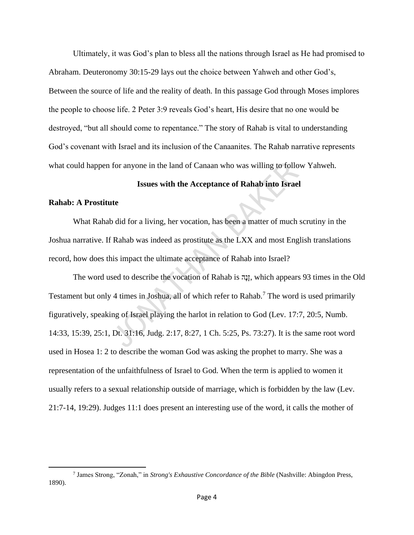Ultimately, it was God's plan to bless all the nations through Israel as He had promised to Abraham. Deuteronomy 30:15-29 lays out the choice between Yahweh and other God's, Between the source of life and the reality of death. In this passage God through Moses implores the people to choose life. 2 Peter 3:9 reveals God's heart, His desire that no one would be destroyed, "but all should come to repentance." The story of Rahab is vital to understanding God's covenant with Israel and its inclusion of the Canaanites. The Rahab narrative represents what could happen for anyone in the land of Canaan who was willing to follow Yahweh.

# **Issues with the Acceptance of Rahab into Israel**

# **Rahab: A Prostitute**

What Rahab did for a living, her vocation, has been a matter of much scrutiny in the Joshua narrative. If Rahab was indeed as prostitute as the LXX and most English translations record, how does this impact the ultimate acceptance of Rahab into Israel?

The word used to describe the vocation of Rahab is הָנָז, which appears 93 times in the Old Testament but only 4 times in Joshua, all of which refer to Rahab.<sup>7</sup> The word is used primarily figuratively, speaking of Israel playing the harlot in relation to God (Lev. 17:7, 20:5, Numb. 14:33, 15:39, 25:1, Dt. 31:16, Judg. 2:17, 8:27, 1 Ch. 5:25, Ps. 73:27). It is the same root word used in Hosea 1: 2 to describe the woman God was asking the prophet to marry. She was a representation of the unfaithfulness of Israel to God. When the term is applied to women it usually refers to a sexual relationship outside of marriage, which is forbidden by the law (Lev. 21:7-14, 19:29). Judges 11:1 does present an interesting use of the word, it calls the mother of

<sup>7</sup> James Strong, "Zonah," in *Strong's Exhaustive Concordance of the Bible* (Nashville: Abingdon Press, 1890).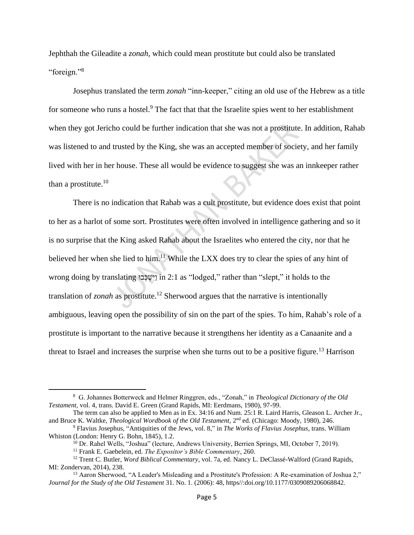Jephthah the Gileadite a *zonah,* which could mean prostitute but could also be translated "foreign."<sup>8</sup>

Josephus translated the term *zonah* "inn-keeper," citing an old use of the Hebrew as a title for someone who runs a hostel.<sup>9</sup> The fact that that the Israelite spies went to her establishment when they got Jericho could be further indication that she was not a prostitute. In addition, Rahab was listened to and trusted by the King, she was an accepted member of society, and her family lived with her in her house. These all would be evidence to suggest she was an innkeeper rather than a prostitute. $10$ 

There is no indication that Rahab was a cult prostitute, but evidence does exist that point to her as a harlot of some sort. Prostitutes were often involved in intelligence gathering and so it is no surprise that the King asked Rahab about the Israelites who entered the city, nor that he believed her when she lied to him.<sup>11</sup> While the LXX does try to clear the spies of any hint of wrong doing by translating וְיֹשֶׁכְּבוּ in 2:1 as "lodged," rather than "slept," it holds to the translation of *zonah* as prostitute.<sup>12</sup> Sherwood argues that the narrative is intentionally ambiguous, leaving open the possibility of sin on the part of the spies. To him, Rahab's role of a prostitute is important to the narrative because it strengthens her identity as a Canaanite and a threat to Israel and increases the surprise when she turns out to be a positive figure.<sup>13</sup> Harrison

<sup>8</sup> G. Johannes Botterweck and Helmer Ringgren, eds., "Zonah," in *Theological Dictionary of the Old Testament,* vol. 4, trans. David E. Green (Grand Rapids, MI: Eerdmans, 1980), 97-99.

The term can also be applied to Men as in Ex. 34:16 and Num. 25:1 R. Laird Harris, Gleason L. Archer Jr., and Bruce K. Waltke, *Theological Wordbook of the Old Testament*, 2<sup>nd</sup> ed. (Chicago: Moody, 1980), 246.

<sup>9</sup> Flavius Josephus, "Antiquities of the Jews, vol. 8," in *The Works of Flavius Josephus*, trans. William Whiston (London: Henry G. Bohn, 1845), 1.2.

<sup>&</sup>lt;sup>10</sup> Dr. Rahel Wells, "Joshua" (lecture, Andrews University, Berrien Springs, MI, October 7, 2019).

<sup>11</sup> Frank E. Gaebelein, ed. *The Expositor's Bible Commentary*, 260.

<sup>12</sup> Trent C. Butler, *Word Biblical Commentary*, vol. 7a, ed. Nancy L. DeClassé-Walford (Grand Rapids, MI: Zondervan, 2014), 238.

<sup>&</sup>lt;sup>13</sup> Aaron Sherwood, "A Leader's Misleading and a Prostitute's Profession: A Re-examination of Joshua 2," *Journal for the Study of the Old Testament* 31. No. 1. (2006): 48, https//:doi.org/10.1177/0309089206068842.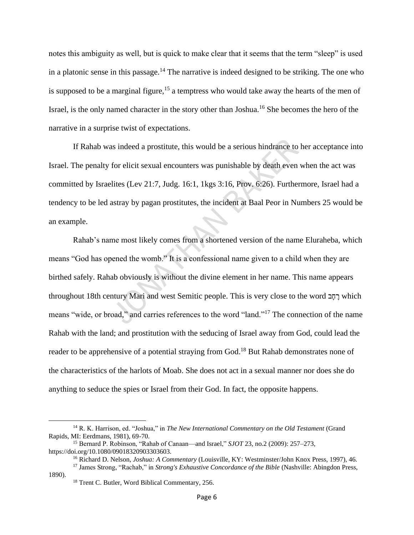notes this ambiguity as well, but is quick to make clear that it seems that the term "sleep" is used in a platonic sense in this passage.<sup>14</sup> The narrative is indeed designed to be striking. The one who is supposed to be a marginal figure,<sup>15</sup> a temptress who would take away the hearts of the men of Israel, is the only named character in the story other than Joshua.<sup>16</sup> She becomes the hero of the narrative in a surprise twist of expectations.

If Rahab was indeed a prostitute, this would be a serious hindrance to her acceptance into Israel. The penalty for elicit sexual encounters was punishable by death even when the act was committed by Israelites (Lev 21:7, Judg. 16:1, 1kgs 3:16, Prov. 6:26). Furthermore, Israel had a tendency to be led astray by pagan prostitutes, the incident at Baal Peor in Numbers 25 would be an example.

Rahab's name most likely comes from a shortened version of the name Eluraheba, which means "God has opened the womb." It is a confessional name given to a child when they are birthed safely. Rahab obviously is without the divine element in her name. This name appears throughout 18th century Mari and west Semitic people. This is very close to the word רַחֲב which means "wide, or broad," and carries references to the word "land."<sup>17</sup> The connection of the name Rahab with the land; and prostitution with the seducing of Israel away from God, could lead the reader to be apprehensive of a potential straying from God.<sup>18</sup> But Rahab demonstrates none of the characteristics of the harlots of Moab. She does not act in a sexual manner nor does she do anything to seduce the spies or Israel from their God. In fact, the opposite happens.

<sup>14</sup> R. K. Harrison, ed. "Joshua," in *The New International Commentary on the Old Testament* (Grand Rapids, MI: Eerdmans, 1981), 69-70.

<sup>15</sup> Bernard P. Robinson, "Rahab of Canaan—and Israel," *SJOT* 23, no.2 (2009): 257–273, https://doi.org/10.1080/09018320903303603.

<sup>16</sup> Richard D. Nelson, *Joshua: A Commentary* (Louisville, KY: Westminster/John Knox Press, 1997), 46.

<sup>17</sup> James Strong, "Rachab," in *Strong's Exhaustive Concordance of the Bible* (Nashville: Abingdon Press, 1890).

<sup>&</sup>lt;sup>18</sup> Trent C. Butler, Word Biblical Commentary, 256.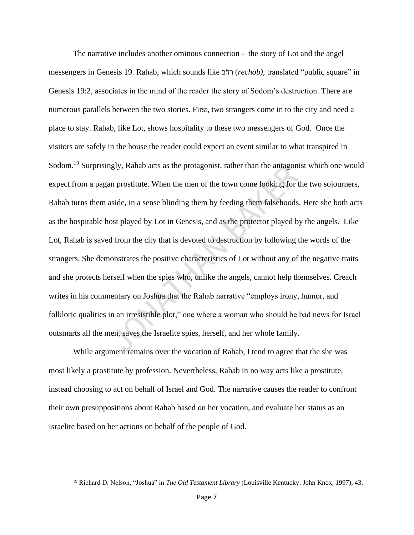The narrative includes another ominous connection - the story of Lot and the angel messengers in Genesis 19. Rahab, which sounds like ב ֹח ְׁר) *rechob),* translated "public square" in Genesis 19:2, associates in the mind of the reader the story of Sodom's destruction. There are numerous parallels between the two stories. First, two strangers come in to the city and need a place to stay. Rahab, like Lot, shows hospitality to these two messengers of God. Once the visitors are safely in the house the reader could expect an event similar to what transpired in Sodom.<sup>19</sup> Surprisingly, Rahab acts as the protagonist, rather than the antagonist which one would expect from a pagan prostitute. When the men of the town come looking for the two sojourners, Rahab turns them aside, in a sense blinding them by feeding them falsehoods. Here she both acts as the hospitable host played by Lot in Genesis, and as the protector played by the angels. Like Lot, Rahab is saved from the city that is devoted to destruction by following the words of the strangers. She demonstrates the positive characteristics of Lot without any of the negative traits and she protects herself when the spies who, unlike the angels, cannot help themselves. Creach writes in his commentary on Joshua that the Rahab narrative "employs irony, humor, and folkloric qualities in an irresistible plot," one where a woman who should be bad news for Israel outsmarts all the men, saves the Israelite spies, herself, and her whole family.

While argument remains over the vocation of Rahab, I tend to agree that the she was most likely a prostitute by profession. Nevertheless, Rahab in no way acts like a prostitute, instead choosing to act on behalf of Israel and God. The narrative causes the reader to confront their own presuppositions about Rahab based on her vocation, and evaluate her status as an Israelite based on her actions on behalf of the people of God.

<sup>19</sup> Richard D. Nelson, "Joshua" in *The Old Testament Library* (Louisville Kentucky: John Knox, 1997), 43.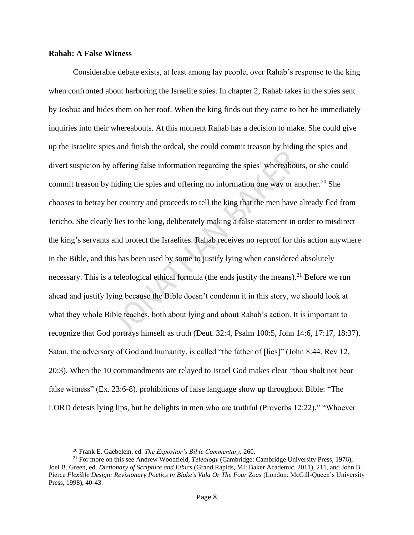# **Rahab: A False Witness**

Considerable debate exists, at least among lay people, over Rahab's response to the king when confronted about harboring the Israelite spies. In chapter 2, Rahab takes in the spies sent by Joshua and hides them on her roof. When the king finds out they came to her he immediately inquiries into their whereabouts. At this moment Rahab has a decision to make. She could give up the Israelite spies and finish the ordeal, she could commit treason by hiding the spies and divert suspicion by offering false information regarding the spies' whereabouts, or she could commit treason by hiding the spies and offering no information one way or another.<sup>20</sup> She chooses to betray her country and proceeds to tell the king that the men have already fled from Jericho. She clearly lies to the king, deliberately making a false statement in order to misdirect the king's servants and protect the Israelites. Rahab receives no reproof for this action anywhere in the Bible, and this has been used by some to justify lying when considered absolutely necessary. This is a teleological ethical formula (the ends justify the means).<sup>21</sup> Before we run ahead and justify lying because the Bible doesn't condemn it in this story, we should look at what they whole Bible teaches, both about lying and about Rahab's action. It is important to recognize that God portrays himself as truth (Deut. 32:4, Psalm 100:5, John 14:6, 17:17, 18:37). Satan, the adversary of God and humanity, is called "the father of [lies]" (John 8:44, Rev 12, 20:3). When the 10 commandments are relayed to Israel God makes clear "thou shalt not bear false witness" (Ex. 23:6-8). prohibitions of false language show up throughout Bible: "The LORD detests lying lips, but he delights in men who are truthful (Proverbs 12:22)," "Whoever

<sup>20</sup> Frank E. Gaebelein, ed. *The Expositor's Bible Commentary,* 260.

<sup>21</sup> For more on this see Andrew Woodfield, *Teleology* (Cambridge: Cambridge University Press, 1976), Joel B. Green, ed. *Dictionary of Scripture and Ethics* (Grand Rapids, MI: Baker Academic, 2011), 211, and John B. Pierce *Flexible Design: Revisionary Poetics in Blake's Vala Or The Four Zoas* (London: McGill-Queen's University Press, 1998), 40-43.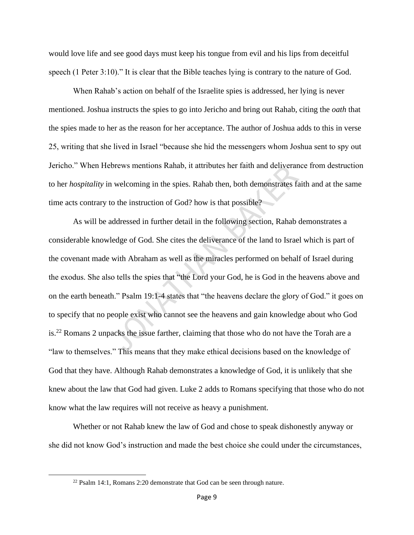would love life and see good days must keep his tongue from evil and his lips from deceitful speech (1 Peter 3:10)." It is clear that the Bible teaches lying is contrary to the nature of God.

When Rahab's action on behalf of the Israelite spies is addressed, her lying is never mentioned. Joshua instructs the spies to go into Jericho and bring out Rahab, citing the *oath* that the spies made to her as the reason for her acceptance. The author of Joshua adds to this in verse 25, writing that she lived in Israel "because she hid the messengers whom Joshua sent to spy out Jericho." When Hebrews mentions Rahab, it attributes her faith and deliverance from destruction to her *hospitality* in welcoming in the spies. Rahab then, both demonstrates faith and at the same time acts contrary to the instruction of God? how is that possible?

As will be addressed in further detail in the following section, Rahab demonstrates a considerable knowledge of God. She cites the deliverance of the land to Israel which is part of the covenant made with Abraham as well as the miracles performed on behalf of Israel during the exodus. She also tells the spies that "the Lord your God, he is God in the heavens above and on the earth beneath." Psalm 19:1-4 states that "the heavens declare the glory of God." it goes on to specify that no people exist who cannot see the heavens and gain knowledge about who God is.<sup>22</sup> Romans 2 unpacks the issue farther, claiming that those who do not have the Torah are a "law to themselves." This means that they make ethical decisions based on the knowledge of God that they have. Although Rahab demonstrates a knowledge of God, it is unlikely that she knew about the law that God had given. Luke 2 adds to Romans specifying that those who do not know what the law requires will not receive as heavy a punishment.

Whether or not Rahab knew the law of God and chose to speak dishonestly anyway or she did not know God's instruction and made the best choice she could under the circumstances,

<sup>&</sup>lt;sup>22</sup> Psalm 14:1, Romans 2:20 demonstrate that God can be seen through nature.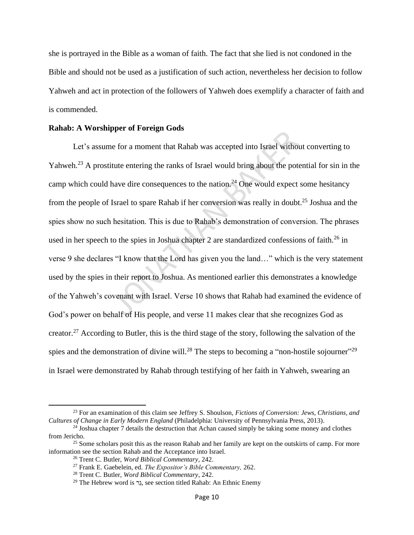she is portrayed in the Bible as a woman of faith. The fact that she lied is not condoned in the Bible and should not be used as a justification of such action, nevertheless her decision to follow Yahweh and act in protection of the followers of Yahweh does exemplify a character of faith and is commended.

## **Rahab: A Worshipper of Foreign Gods**

Let's assume for a moment that Rahab was accepted into Israel without converting to Yahweh.<sup>23</sup> A prostitute entering the ranks of Israel would bring about the potential for sin in the camp which could have dire consequences to the nation.<sup>24</sup> One would expect some hesitancy from the people of Israel to spare Rahab if her conversion was really in doubt.<sup>25</sup> Joshua and the spies show no such hesitation. This is due to Rahab's demonstration of conversion. The phrases used in her speech to the spies in Joshua chapter 2 are standardized confessions of faith.<sup>26</sup> in verse 9 she declares "I know that the Lord has given you the land…" which is the very statement used by the spies in their report to Joshua. As mentioned earlier this demonstrates a knowledge of the Yahweh's covenant with Israel. Verse 10 shows that Rahab had examined the evidence of God's power on behalf of His people, and verse 11 makes clear that she recognizes God as creator.<sup>27</sup> According to Butler, this is the third stage of the story, following the salvation of the spies and the demonstration of divine will.<sup>28</sup> The steps to becoming a "non-hostile sojourner" in Israel were demonstrated by Rahab through testifying of her faith in Yahweh, swearing an

<sup>23</sup> For an examination of this claim see Jeffrey S. Shoulson, *Fictions of Conversion: Jews, Christians, and Cultures of Change in Early Modern England* (Philadelphia: University of Pennsylvania Press, 2013).

<sup>&</sup>lt;sup>24</sup> Joshua chapter 7 details the destruction that Achan caused simply be taking some money and clothes from Jericho.

<sup>&</sup>lt;sup>25</sup> Some scholars posit this as the reason Rahab and her family are kept on the outskirts of camp. For more information see the section Rahab and the Acceptance into Israel.

<sup>26</sup> Trent C. Butler, *Word Biblical Commentary*, 242.

<sup>27</sup> Frank E. Gaebelein, ed. *The Expositor's Bible Commentary,* 262.

<sup>28</sup> Trent C. Butler, *Word Biblical Commentary*, 242.

<sup>&</sup>lt;sup>29</sup> The Hebrew word is רֵג, see section titled Rahab: An Ethnic Enemy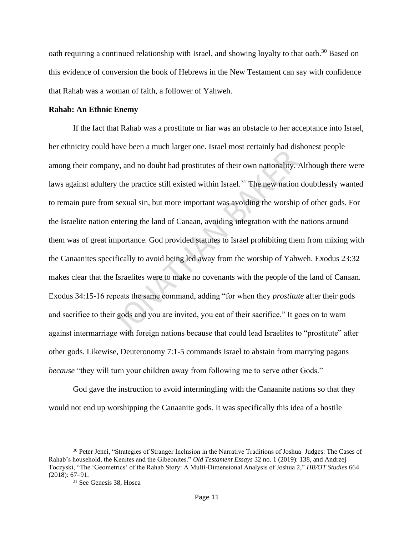oath requiring a continued relationship with Israel, and showing loyalty to that oath.<sup>30</sup> Based on this evidence of conversion the book of Hebrews in the New Testament can say with confidence that Rahab was a woman of faith, a follower of Yahweh.

## **Rahab: An Ethnic Enemy**

If the fact that Rahab was a prostitute or liar was an obstacle to her acceptance into Israel, her ethnicity could have been a much larger one. Israel most certainly had dishonest people among their company, and no doubt had prostitutes of their own nationality. Although there were laws against adultery the practice still existed within Israel.<sup>31</sup> The new nation doubtlessly wanted to remain pure from sexual sin, but more important was avoiding the worship of other gods. For the Israelite nation entering the land of Canaan, avoiding integration with the nations around them was of great importance. God provided statutes to Israel prohibiting them from mixing with the Canaanites specifically to avoid being led away from the worship of Yahweh. Exodus 23:32 makes clear that the Israelites were to make no covenants with the people of the land of Canaan. Exodus 34:15-16 repeats the same command, adding "for when they *prostitute* after their gods and sacrifice to their gods and you are invited, you eat of their sacrifice." It goes on to warn against intermarriage with foreign nations because that could lead Israelites to "prostitute" after other gods. Likewise, Deuteronomy 7:1-5 commands Israel to abstain from marrying pagans *because* "they will turn your children away from following me to serve other Gods."

God gave the instruction to avoid intermingling with the Canaanite nations so that they would not end up worshipping the Canaanite gods. It was specifically this idea of a hostile

<sup>30</sup> Peter Jenei, "Strategies of Stranger Inclusion in the Narrative Traditions of Joshua–Judges: The Cases of Rahab's household, the Kenites and the Gibeonites." *Old Testament Essays* 32 no. 1 (2019): 138, and Andrzej Toczyski, "The 'Geometrics' of the Rahab Story: A Multi-Dimensional Analysis of Joshua 2," *HB/OT Studies* 664 (2018): 67–91.

<sup>31</sup> See Genesis 38, Hosea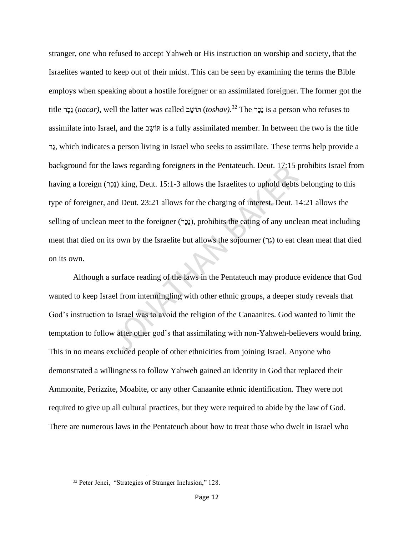stranger, one who refused to accept Yahweh or His instruction on worship and society, that the Israelites wanted to keep out of their midst. This can be seen by examining the terms the Bible employs when speaking about a hostile foreigner or an assimilated foreigner. The former got the title נָכֶר), well the latter was called וֹשָׁב (toshav).<sup>32</sup> The נָכָר is a person who refuses to assimilate into Israel, and the פוֹשֵׁב is a fully assimilated member. In between the two is the title רֵג, which indicates a person living in Israel who seeks to assimilate. These terms help provide a background for the laws regarding foreigners in the Pentateuch. Deut. 17:15 prohibits Israel from having a foreign (נָכָר) king, Deut. 15:1-3 allows the Israelites to uphold debts belonging to this type of foreigner, and Deut. 23:21 allows for the charging of interest. Deut. 14:21 allows the selling of unclean meet to the foreigner (נָכָר), prohibits the eating of any unclean meat including meat that died on its own by the Israelite but allows the sojourner (גֶרָ) to eat clean meat that died on its own.

Although a surface reading of the laws in the Pentateuch may produce evidence that God wanted to keep Israel from intermingling with other ethnic groups, a deeper study reveals that God's instruction to Israel was to avoid the religion of the Canaanites. God wanted to limit the temptation to follow after other god's that assimilating with non-Yahweh-believers would bring. This in no means excluded people of other ethnicities from joining Israel. Anyone who demonstrated a willingness to follow Yahweh gained an identity in God that replaced their Ammonite, Perizzite, Moabite, or any other Canaanite ethnic identification. They were not required to give up all cultural practices, but they were required to abide by the law of God. There are numerous laws in the Pentateuch about how to treat those who dwelt in Israel who

<sup>32</sup> Peter Jenei, "Strategies of Stranger Inclusion," 128.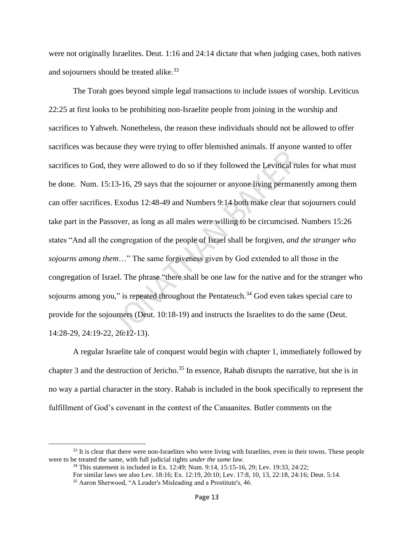were not originally Israelites. Deut. 1:16 and 24:14 dictate that when judging cases, both natives and sojourners should be treated alike.<sup>33</sup>

The Torah goes beyond simple legal transactions to include issues of worship. Leviticus 22:25 at first looks to be prohibiting non-Israelite people from joining in the worship and sacrifices to Yahweh. Nonetheless, the reason these individuals should not be allowed to offer sacrifices was because they were trying to offer blemished animals. If anyone wanted to offer sacrifices to God, they were allowed to do so if they followed the Levitical rules for what must be done. Num. 15:13-16, 29 says that the sojourner or anyone living permanently among them can offer sacrifices. Exodus 12:48-49 and Numbers 9:14 both make clear that sojourners could take part in the Passover, as long as all males were willing to be circumcised. Numbers 15:26 states "And all the congregation of the people of Israel shall be forgiven, *and the stranger who sojourns among them*…" The same forgiveness given by God extended to all those in the congregation of Israel. The phrase "there shall be one law for the native and for the stranger who sojourns among you," is repeated throughout the Pentateuch.<sup>34</sup> God even takes special care to provide for the sojourners (Deut. 10:18-19) and instructs the Israelites to do the same (Deut. 14:28-29, 24:19-22, 26:12-13).

A regular Israelite tale of conquest would begin with chapter 1, immediately followed by chapter 3 and the destruction of Jericho.<sup>35</sup> In essence, Rahab disrupts the narrative, but she is in no way a partial character in the story. Rahab is included in the book specifically to represent the fulfillment of God's covenant in the context of the Canaanites. Butler comments on the

<sup>&</sup>lt;sup>33</sup> It is clear that there were non-Israelites who were living with Israelites, even in their towns. These people were to be treated the same, with full judicial rights *under the same law*.

<sup>34</sup> This statement is included in Ex. 12:49; Num. 9:14, 15:15-16, 29; Lev. 19:33, 24:22;

For similar laws see also Lev. 18:16; Ex. 12:19, 20:10; Lev. 17:8, 10, 13, 22:18, 24:16; Deut. 5:14.

<sup>35</sup> Aaron Sherwood, "A Leader's Misleading and a Prostitute's, 46.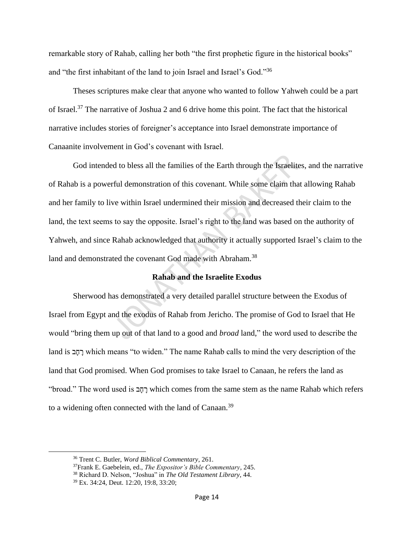remarkable story of Rahab, calling her both "the first prophetic figure in the historical books" and "the first inhabitant of the land to join Israel and Israel's God."<sup>36</sup>

Theses scriptures make clear that anyone who wanted to follow Yahweh could be a part of Israel.<sup>37</sup> The narrative of Joshua 2 and 6 drive home this point. The fact that the historical narrative includes stories of foreigner's acceptance into Israel demonstrate importance of Canaanite involvement in God's covenant with Israel.

God intended to bless all the families of the Earth through the Israelites, and the narrative of Rahab is a powerful demonstration of this covenant. While some claim that allowing Rahab and her family to live within Israel undermined their mission and decreased their claim to the land, the text seems to say the opposite. Israel's right to the land was based on the authority of Yahweh, and since Rahab acknowledged that authority it actually supported Israel's claim to the land and demonstrated the covenant God made with Abraham.<sup>38</sup>

# **Rahab and the Israelite Exodus**

Sherwood has demonstrated a very detailed parallel structure between the Exodus of Israel from Egypt and the exodus of Rahab from Jericho. The promise of God to Israel that He would "bring them up out of that land to a good and *broad* land," the word used to describe the land is רְחָב which means "to widen." The name Rahab calls to mind the very description of the land that God promised. When God promises to take Israel to Canaan, he refers the land as "broad." The word used is בְּחֲב which comes from the same stem as the name Rahab which refers to a widening often connected with the land of Canaan.<sup>39</sup>

<sup>36</sup> Trent C. Butler, *Word Biblical Commentary*, 261.

<sup>37</sup>Frank E. Gaebelein, ed., *The Expositor's Bible Commentary*, 245.

<sup>38</sup> Richard D. Nelson, "Joshua" in *The Old Testament Library*, 44.

<sup>39</sup> Ex. 34:24, Deut. 12:20, 19:8, 33:20;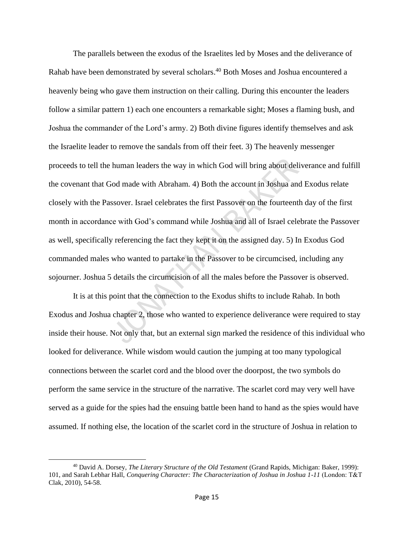The parallels between the exodus of the Israelites led by Moses and the deliverance of Rahab have been demonstrated by several scholars.<sup>40</sup> Both Moses and Joshua encountered a heavenly being who gave them instruction on their calling. During this encounter the leaders follow a similar pattern 1) each one encounters a remarkable sight; Moses a flaming bush, and Joshua the commander of the Lord's army. 2) Both divine figures identify themselves and ask the Israelite leader to remove the sandals from off their feet. 3) The heavenly messenger proceeds to tell the human leaders the way in which God will bring about deliverance and fulfill the covenant that God made with Abraham. 4) Both the account in Joshua and Exodus relate closely with the Passover. Israel celebrates the first Passover on the fourteenth day of the first month in accordance with God's command while Joshua and all of Israel celebrate the Passover as well, specifically referencing the fact they kept it on the assigned day. 5) In Exodus God commanded males who wanted to partake in the Passover to be circumcised, including any sojourner. Joshua 5 details the circumcision of all the males before the Passover is observed.

It is at this point that the connection to the Exodus shifts to include Rahab. In both Exodus and Joshua chapter 2, those who wanted to experience deliverance were required to stay inside their house. Not only that, but an external sign marked the residence of this individual who looked for deliverance. While wisdom would caution the jumping at too many typological connections between the scarlet cord and the blood over the doorpost, the two symbols do perform the same service in the structure of the narrative. The scarlet cord may very well have served as a guide for the spies had the ensuing battle been hand to hand as the spies would have assumed. If nothing else, the location of the scarlet cord in the structure of Joshua in relation to

<sup>40</sup> David A. Dorsey, *The Literary Structure of the Old Testament* (Grand Rapids, Michigan: Baker, 1999): 101, and Sarah Lebhar Hall, *Conquering Character: The Characterization of Joshua in Joshua 1-11* (London: Τ&Τ Clak, 2010), 54-58.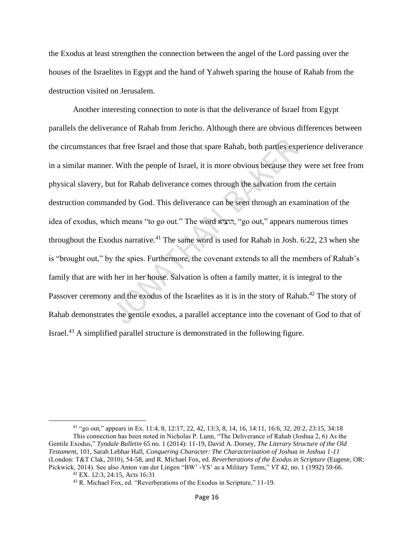the Exodus at least strengthen the connection between the angel of the Lord passing over the houses of the Israelites in Egypt and the hand of Yahweh sparing the house of Rahab from the destruction visited on Jerusalem.

Another interesting connection to note is that the deliverance of Israel from Egypt parallels the deliverance of Rahab from Jericho. Although there are obvious differences between the circumstances that free Israel and those that spare Rahab, both parties experience deliverance in a similar manner. With the people of Israel, it is more obvious because they were set free from physical slavery, but for Rahab deliverance comes through the salvation from the certain destruction commanded by God. This deliverance can be seen through an examination of the idea of exodus, which means "to go out." The word הוציא," go out," appears numerous times throughout the Exodus narrative.<sup>41</sup> The same word is used for Rahab in Josh. 6:22, 23 when she is "brought out," by the spies. Furthermore, the covenant extends to all the members of Rahab's family that are with her in her house. Salvation is often a family matter, it is integral to the Passover ceremony and the exodus of the Israelites as it is in the story of Rahab.<sup>42</sup> The story of Rahab demonstrates the gentile exodus, a parallel acceptance into the covenant of God to that of Israel.<sup>43</sup> A simplified parallel structure is demonstrated in the following figure.

<sup>41</sup> "go out," appears in Ex. 11:4, 8, 12:17, 22, 42, 13:3, 8, 14, 16, 14:11, 16:6, 32, 20:2, 23:15, 34:18

This connection has been noted in Nicholas P. Lunn, "The Deliverance of Rahab (Joshua 2, 6) As the Gentile Exodus," *Tyndale Bulletin* 65 no. 1 (2014): 11-19, David A. Dorsey, *The Literary Structure of the Old Testament*, 101, Sarah Lebhar Hall, *Conquering Character: The Characterization of Joshua in Joshua 1-11* (London: Τ&Τ Clak, 2010), 54-58, and R. Michael Fox, ed. *Reverberations of the Exodus in Scripture* (Eugene, OR: Pickwick, 2014). See also Anton van der Lingen "BW' -YS' as a Military Term," *VT* 42, no. 1 (1992) 59-66. <sup>42</sup> EX. 12:3, 24:15, Acts 16:31

<sup>43</sup> R. Michael Fox, ed. "Reverberations of the Exodus in Scripture," 11-19.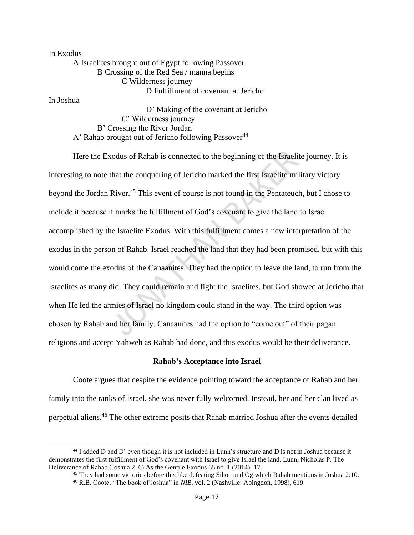In Exodus A Israelites brought out of Egypt following Passover B Crossing of the Red Sea / manna begins C Wilderness journey D Fulfillment of covenant at Jericho

In Joshua

D' Making of the covenant at Jericho C' Wilderness journey B' Crossing the River Jordan A' Rahab brought out of Jericho following Passover<sup>44</sup>

Here the Exodus of Rahab is connected to the beginning of the Israelite journey. It is interesting to note that the conquering of Jericho marked the first Israelite military victory beyond the Jordan River.<sup>45</sup> This event of course is not found in the Pentateuch, but I chose to include it because it marks the fulfillment of God's covenant to give the land to Israel accomplished by the Israelite Exodus. With this fulfillment comes a new interpretation of the exodus in the person of Rahab. Israel reached the land that they had been promised, but with this would come the exodus of the Canaanites. They had the option to leave the land, to run from the Israelites as many did. They could remain and fight the Israelites, but God showed at Jericho that when He led the armies of Israel no kingdom could stand in the way. The third option was chosen by Rahab and her family. Canaanites had the option to "come out" of their pagan religions and accept Yahweh as Rahab had done, and this exodus would be their deliverance.

# **Rahab's Acceptance into Israel**

Coote argues that despite the evidence pointing toward the acceptance of Rahab and her family into the ranks of Israel, she was never fully welcomed. Instead, her and her clan lived as perpetual aliens.<sup>46</sup> The other extreme posits that Rahab married Joshua after the events detailed

<sup>44</sup> I added D and D' even though it is not included in Lunn's structure and D is not in Joshua because it demonstrates the first fulfillment of God's covenant with Israel to give Israel the land. Lunn, Nicholas P. The Deliverance of Rahab (Joshua 2, 6) As the Gentile Exodus 65 no. 1 (2014): 17.

<sup>&</sup>lt;sup>45</sup> They had some victories before this like defeating Sihon and Og which Rahab mentions in Joshua 2:10. <sup>46</sup> R.B. Coote, "The book of Joshua" in *NIB*, vol. 2 (Nashville: Abingdon, 1998), 619.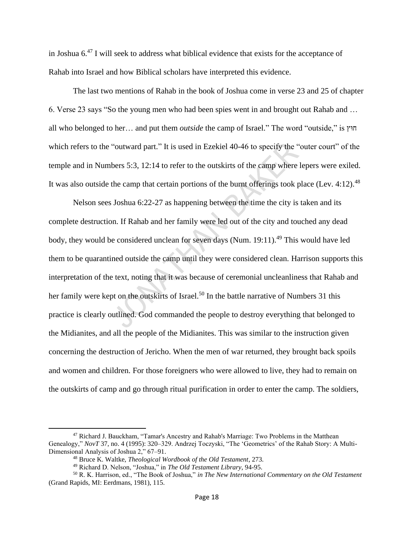in Joshua  $6<sup>47</sup>$  I will seek to address what biblical evidence that exists for the acceptance of Rahab into Israel and how Biblical scholars have interpreted this evidence.

The last two mentions of Rahab in the book of Joshua come in verse 23 and 25 of chapter 6. Verse 23 says "So the young men who had been spies went in and brought out Rahab and … all who belonged to her… and put them *outside* the camp of Israel." The word "outside," is וץּח which refers to the "outward part." It is used in Ezekiel 40-46 to specify the "outer court" of the temple and in Numbers 5:3, 12:14 to refer to the outskirts of the camp where lepers were exiled. It was also outside the camp that certain portions of the burnt offerings took place (Lev.  $4:12$ ).<sup>48</sup>

Nelson sees Joshua 6:22-27 as happening between the time the city is taken and its complete destruction. If Rahab and her family were led out of the city and touched any dead body, they would be considered unclean for seven days (Num. 19:11).<sup>49</sup> This would have led them to be quarantined outside the camp until they were considered clean. Harrison supports this interpretation of the text, noting that it was because of ceremonial uncleanliness that Rahab and her family were kept on the outskirts of Israel.<sup>50</sup> In the battle narrative of Numbers 31 this practice is clearly outlined. God commanded the people to destroy everything that belonged to the Midianites, and all the people of the Midianites. This was similar to the instruction given concerning the destruction of Jericho. When the men of war returned, they brought back spoils and women and children. For those foreigners who were allowed to live, they had to remain on the outskirts of camp and go through ritual purification in order to enter the camp. The soldiers,

<sup>47</sup> Richard J. Bauckham, "Tamar's Ancestry and Rahab's Marriage: Two Problems in the Matthean Genealogy," *NovT* 37, no. 4 (1995): 320–329. Andrzej Toczyski, "The 'Geometrics' of the Rahab Story: A Multi-Dimensional Analysis of Joshua 2," 67–91.

<sup>48</sup> Bruce K. Waltke, *Theological Wordbook of the Old Testament*, 273.

<sup>49</sup> Richard D. Nelson, "Joshua," in *The Old Testament Library*, 94-95.

<sup>50</sup> R. K. Harrison, ed., "The Book of Joshua," *in The New International Commentary on the Old Testament* (Grand Rapids, MI: Eerdmans, 1981), 115.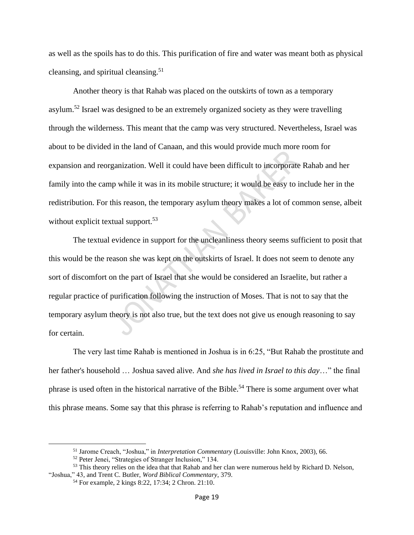as well as the spoils has to do this. This purification of fire and water was meant both as physical cleansing, and spiritual cleansing.<sup>51</sup>

Another theory is that Rahab was placed on the outskirts of town as a temporary asylum.<sup>52</sup> Israel was designed to be an extremely organized society as they were travelling through the wilderness. This meant that the camp was very structured. Nevertheless, Israel was about to be divided in the land of Canaan, and this would provide much more room for expansion and reorganization. Well it could have been difficult to incorporate Rahab and her family into the camp while it was in its mobile structure; it would be easy to include her in the redistribution. For this reason, the temporary asylum theory makes a lot of common sense, albeit without explicit textual support.<sup>53</sup>

The textual evidence in support for the uncleanliness theory seems sufficient to posit that this would be the reason she was kept on the outskirts of Israel. It does not seem to denote any sort of discomfort on the part of Israel that she would be considered an Israelite, but rather a regular practice of purification following the instruction of Moses. That is not to say that the temporary asylum theory is not also true, but the text does not give us enough reasoning to say for certain.

The very last time Rahab is mentioned in Joshua is in 6:25, "But Rahab the prostitute and her father's household … Joshua saved alive. And *she has lived in Israel to this day*…" the final phrase is used often in the historical narrative of the Bible.<sup>54</sup> There is some argument over what this phrase means. Some say that this phrase is referring to Rahab's reputation and influence and

<sup>51</sup> Jarome Creach, "Joshua," in *Interpretation Commentary* (Louisville: John Knox, 2003), 66.

<sup>52</sup> Peter Jenei, "Strategies of Stranger Inclusion," 134.

<sup>&</sup>lt;sup>53</sup> This theory relies on the idea that that Rahab and her clan were numerous held by Richard D. Nelson, "Joshua," 43, and Trent C. Butler, *Word Biblical Commentary*, 379.

<sup>54</sup> For example, 2 kings 8:22, 17:34; 2 Chron. 21:10.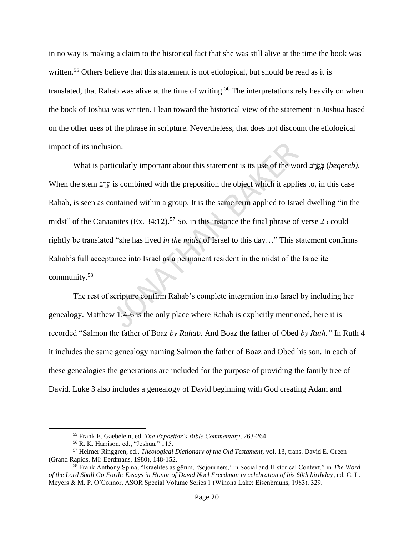in no way is making a claim to the historical fact that she was still alive at the time the book was written.<sup>55</sup> Others believe that this statement is not etiological, but should be read as it is translated, that Rahab was alive at the time of writing.<sup>56</sup> The interpretations rely heavily on when the book of Joshua was written. I lean toward the historical view of the statement in Joshua based on the other uses of the phrase in scripture. Nevertheless, that does not discount the etiological impact of its inclusion.

What is particularly important about this statement is its use of the word בְּקֵרָב *(beqereb)*. When the stem קְרֵב is combined with the preposition the object which it applies to, in this case Rahab, is seen as contained within a group. It is the same term applied to Israel dwelling "in the midst" of the Canaanites (Ex.  $34:12$ ).<sup>57</sup> So, in this instance the final phrase of verse 25 could rightly be translated "she has lived *in the midst* of Israel to this day…" This statement confirms Rahab's full acceptance into Israel as a permanent resident in the midst of the Israelite community.<sup>58</sup>

The rest of scripture confirm Rahab's complete integration into Israel by including her genealogy. Matthew 1:4-6 is the only place where Rahab is explicitly mentioned, here it is recorded "Salmon the father of Boaz *by Rahab.* And Boaz the father of Obed *by Ruth."* In Ruth 4 it includes the same genealogy naming Salmon the father of Boaz and Obed his son. In each of these genealogies the generations are included for the purpose of providing the family tree of David. Luke 3 also includes a genealogy of David beginning with God creating Adam and

<sup>55</sup> Frank E. Gaebelein, ed. *The Expositor's Bible Commentary*, 263-264.

<sup>56</sup> R. K. Harrison, ed., "Joshua," 115.

<sup>57</sup> Helmer Ringgren, ed., *Theological Dictionary of the Old Testament,* vol. 13, trans. David E. Green (Grand Rapids, MI: Eerdmans, 1980), 148-152.

<sup>58</sup> Frank Anthony Spina, "Israelites as gērîm, 'Sojourners,' in Social and Historical Context," in *The Word of the Lord Shall Go Forth: Essays in Honor of David Noel Freedman in celebration of his 60th birthday*, ed. C. L. Meyers & M. P. O'Connor, ASOR Special Volume Series 1 (Winona Lake: Eisenbrauns, 1983), 329.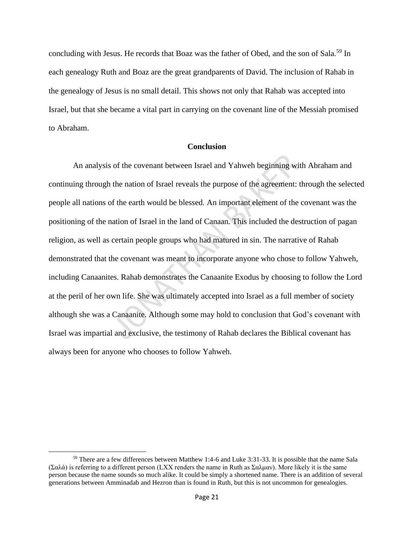concluding with Jesus. He records that Boaz was the father of Obed, and the son of Sala.<sup>59</sup> In each genealogy Ruth and Boaz are the great grandparents of David. The inclusion of Rahab in the genealogy of Jesus is no small detail. This shows not only that Rahab was accepted into Israel, but that she became a vital part in carrying on the covenant line of the Messiah promised to Abraham.

## **Conclusion**

An analysis of the covenant between Israel and Yahweh beginning with Abraham and continuing through the nation of Israel reveals the purpose of the agreement: through the selected people all nations of the earth would be blessed. An important element of the covenant was the positioning of the nation of Israel in the land of Canaan. This included the destruction of pagan religion, as well as certain people groups who had matured in sin. The narrative of Rahab demonstrated that the covenant was meant to incorporate anyone who chose to follow Yahweh, including Canaanites. Rahab demonstrates the Canaanite Exodus by choosing to follow the Lord at the peril of her own life. She was ultimately accepted into Israel as a full member of society although she was a Canaanite. Although some may hold to conclusion that God's covenant with Israel was impartial and exclusive, the testimony of Rahab declares the Biblical covenant has always been for anyone who chooses to follow Yahweh.

<sup>59</sup> There are a few differences between Matthew 1:4-6 and Luke 3:31-33. It is possible that the name Sala (Σαλά) is referring to a different person (LXX renders the name in Ruth as Σαλμαν). More likely it is the same person because the name sounds so much alike. It could be simply a shortened name. There is an addition of several generations between Amminadab and Hezron than is found in Ruth, but this is not uncommon for genealogies.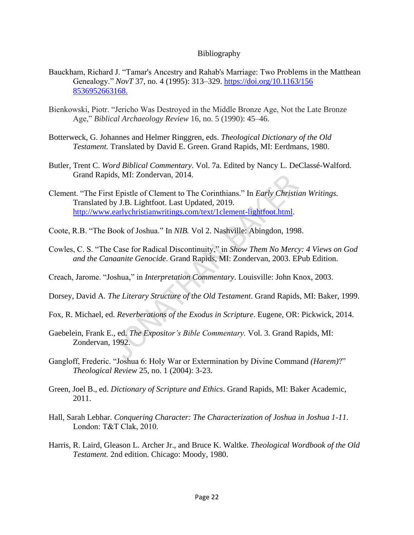# Bibliography

- Bauckham, Richard J. "Tamar's Ancestry and Rahab's Marriage: Two Problems in the Matthean Genealogy." *NovT* 37, no. 4 (1995): 313–329. [https://doi.org/10.1163/156](https://doi.org/10.1163/156%208536952663168)  [8536952663168.](https://doi.org/10.1163/156%208536952663168)
- Bienkowski, Piotr. "Jericho Was Destroyed in the Middle Bronze Age, Not the Late Bronze Age," *Biblical Archaeology Review* 16, no. 5 (1990): 45–46.
- Botterweck, G. Johannes and Helmer Ringgren, eds. *Theological Dictionary of the Old Testament.* Translated by David E. Green. Grand Rapids, MI: Eerdmans, 1980.
- Butler, Trent C. *Word Biblical Commentary*. Vol. 7a. Edited by Nancy L. DeClassé-Walford. Grand Rapids, MI: Zondervan, 2014.
- Clement. "The First Epistle of Clement to The Corinthians." In *Early Christian Writings.*  Translated by J.B. Lightfoot. Last Updated, 2019. [http://www.earlychristianwritings.com/text/1clement-lightfoot.html.](http://www.earlychristianwritings.com/text/1clement-lightfoot.html)
- Coote, R.B. "The Book of Joshua." In *NIB.* Vol 2. Nashville: Abingdon, 1998.
- Cowles, C. S. "The Case for Radical Discontinuity," in *Show Them No Mercy: 4 Views on God and the Canaanite Genocide*. Grand Rapids, MI: Zondervan, 2003. EPub Edition.
- Creach, Jarome. "Joshua," in *Interpretation Commentary*. Louisville: John Knox, 2003.
- Dorsey, David A. *The Literary Structure of the Old Testament*. Grand Rapids, MI: Baker, 1999.
- Fox, R. Michael, ed. *Reverberations of the Exodus in Scripture*. Eugene, OR: Pickwick, 2014.
- Gaebelein, Frank E., ed. *The Expositor's Bible Commentary.* Vol. 3. Grand Rapids, MI: Zondervan, 1992.
- Gangloff, Frederic. "Joshua 6: Holy War or Extermination by Divine Command *(Harem)*?" *Theological Review* 25, no. 1 (2004): 3-23.
- Green, Joel B., ed. *Dictionary of Scripture and Ethics*. Grand Rapids, MI: Baker Academic, 2011.
- Hall, Sarah Lebhar. *Conquering Character: The Characterization of Joshua in Joshua 1-11*. London: Τ&Τ Clak, 2010.
- Harris, R. Laird, Gleason L. Archer Jr., and Bruce K. Waltke. *Theological Wordbook of the Old Testament.* 2nd edition. Chicago: Moody, 1980.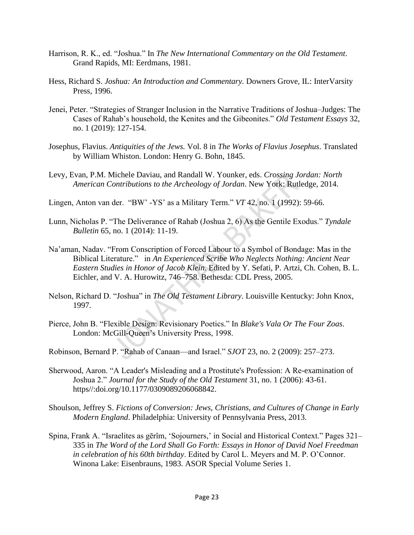- Harrison, R. K., ed. "Joshua." In *The New International Commentary on the Old Testament*. Grand Rapids, MI: Eerdmans, 1981.
- Hess, Richard S. *Joshua: An Introduction and Commentary.* Downers Grove, IL: InterVarsity Press, 1996.
- Jenei, Peter. "Strategies of Stranger Inclusion in the Narrative Traditions of Joshua–Judges: The Cases of Rahab's household, the Kenites and the Gibeonites." *Old Testament Essays* 32, no. 1 (2019): 127-154.
- Josephus, Flavius. *Antiquities of the Jews.* Vol. 8 in *The Works of Flavius Josephus*. Translated by William Whiston. London: Henry G. Bohn, 1845.
- Levy, Evan, P.M. Michele Daviau, and Randall W. Younker, eds. *Crossing Jordan: North American Contributions to the Archeology of Jordan*. New York: Rutledge, 2014.
- Lingen, Anton van der. "BW' -YS' as a Military Term." *VT* 42, no. 1 (1992): 59-66.
- Lunn, Nicholas P. "The Deliverance of Rahab (Joshua 2, 6) As the Gentile Exodus." *Tyndale Bulletin* 65, no. 1 (2014): 11-19.
- Na'aman, Nadav. "From Conscription of Forced Labour to a Symbol of Bondage: Mas in the Biblical Literature." in *An Experienced Scribe Who Neglects Nothing: Ancient Near Eastern Studies in Honor of Jacob Klein.* Edited by Y. Sefati, P. Artzi, Ch. Cohen, B. L. Eichler, and V. A. Hurowitz, 746–758. Bethesda: CDL Press, 2005.
- Nelson, Richard D. "Joshua" in *The Old Testament Library*. Louisville Kentucky: John Knox, 1997.
- Pierce, John B. "Flexible Design: Revisionary Poetics." In *Blake's Vala Or The Four Zoas*. London: McGill-Queen's University Press, 1998.
- Robinson, Bernard P. "Rahab of Canaan—and Israel." *SJOT* 23, no. 2 (2009): 257–273.
- Sherwood, Aaron. "A Leader's Misleading and a Prostitute's Profession: A Re-examination of Joshua 2." *Journal for the Study of the Old Testament* 31, no. 1 (2006): 43-61. https//:doi.org/10.1177/0309089206068842.
- Shoulson, Jeffrey S. *Fictions of Conversion: Jews, Christians, and Cultures of Change in Early Modern England*. Philadelphia: University of Pennsylvania Press, 2013.
- Spina, Frank A. "Israelites as gērîm, 'Sojourners,' in Social and Historical Context." Pages 321– 335 in *The Word of the Lord Shall Go Forth: Essays in Honor of David Noel Freedman in celebration of his 60th birthday*. Edited by Carol L. Meyers and M. P. O'Connor. Winona Lake: Eisenbrauns, 1983. ASOR Special Volume Series 1.